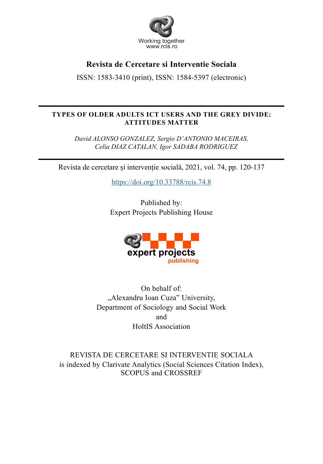

## **Revista de Cercetare si Interventie Sociala**

ISSN: 1583-3410 (print), ISSN: 1584-5397 (electronic)

## **TYPES OF OLDER ADULTS ICT USERS AND THE GREY DIVIDE: ATTITUDES MATTER**

*David ALONSO GONZALEZ, Sergio D'ANTONIO MACEIRAS, Celia DIAZ CATALAN, Igor SADABA RODRIGUEZ*

Revista de cercetare și intervenție socială, 2021, vol. 74, pp. 120-137

https://doi.org/10.33788/rcis.74.8

Published by: Expert Projects Publishing House



On behalf of: "Alexandru Ioan Cuza" University, Department of Sociology and Social Work and HoltIS Association

REVISTA DE CERCETARE SI INTERVENTIE SOCIALA is indexed by Clarivate Analytics (Social Sciences Citation Index), SCOPUS and CROSSREF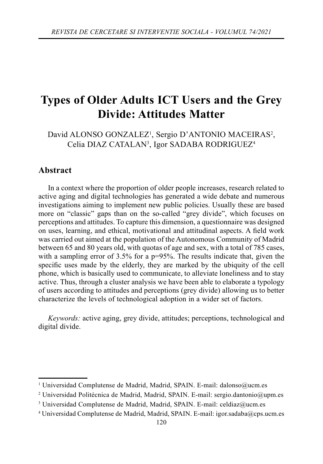# **Types of Older Adults ICT Users and the Grey Divide: Attitudes Matter**

David ALONSO GONZALEZ<sup>1</sup>, Sergio D'ANTONIO MACEIRAS<sup>2</sup>, Celia DIAZ CATALAN<sup>3</sup>, Igor SADABA RODRIGUEZ<sup>4</sup>

## **Abstract**

In a context where the proportion of older people increases, research related to active aging and digital technologies has generated a wide debate and numerous investigations aiming to implement new public policies. Usually these are based more on "classic" gaps than on the so-called "grey divide", which focuses on perceptions and attitudes. To capture this dimension, a questionnaire was designed on uses, learning, and ethical, motivational and attitudinal aspects. A field work was carried out aimed at the population of the Autonomous Community of Madrid between 65 and 80 years old, with quotas of age and sex, with a total of 785 cases, with a sampling error of  $3.5\%$  for a p=95%. The results indicate that, given the specific uses made by the elderly, they are marked by the ubiquity of the cell phone, which is basically used to communicate, to alleviate loneliness and to stay active. Thus, through a cluster analysis we have been able to elaborate a typology of users according to attitudes and perceptions (grey divide) allowing us to better characterize the levels of technological adoption in a wider set of factors.

*Keywords:* active aging, grey divide, attitudes; perceptions, technological and digital divide.

<sup>&</sup>lt;sup>1</sup> Universidad Complutense de Madrid, Madrid, SPAIN. E-mail: dalonso@ucm.es

<sup>2</sup> Universidad Politécnica de Madrid, Madrid, SPAIN. E-mail: sergio.dantonio@upm.es

<sup>3</sup> Universidad Complutense de Madrid, Madrid, SPAIN. E-mail: celdiaz@ucm.es

<sup>4</sup> Universidad Complutense de Madrid, Madrid, SPAIN. E-mail: igor.sadaba@cps.ucm.es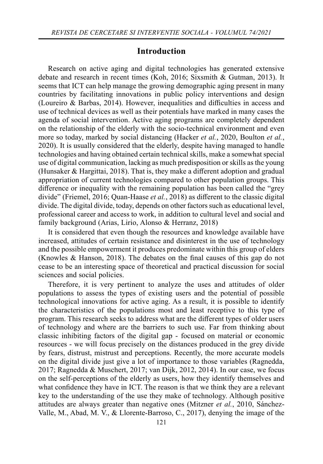## **Introduction**

Research on active aging and digital technologies has generated extensive debate and research in recent times (Koh, 2016; Sixsmith & Gutman, 2013). It seems that ICT can help manage the growing demographic aging present in many countries by facilitating innovations in public policy interventions and design (Loureiro  $\&$  Barbas, 2014). However, inequalities and difficulties in access and use of technical devices as well as their potentials have marked in many cases the agenda of social intervention. Active aging programs are completely dependent on the relationship of the elderly with the socio-technical environment and even more so today, marked by social distancing (Hacker *et al.*, 2020, Boulton *et al.*, 2020). It is usually considered that the elderly, despite having managed to handle technologies and having obtained certain technical skills, make a somewhat special use of digital communication, lacking as much predisposition or skills as the young (Hunsaker  $& Hargittai, 2018$ ). That is, they make a different adoption and gradual appropriation of current technologies compared to other population groups. This difference or inequality with the remaining population has been called the "grey divide" (Friemel, 2016; Quan-Haase *et al.*, 2018) as different to the classic digital divide. The digital divide, today, depends on other factors such as educational level, professional career and access to work, in addition to cultural level and social and family background (Arias, Lirio, Alonso & Herranz, 2018)

It is considered that even though the resources and knowledge available have increased, attitudes of certain resistance and disinterest in the use of technology and the possible empowerment it produces predominate within this group of elders (Knowles & Hanson, 2018). The debates on the final causes of this gap do not cease to be an interesting space of theoretical and practical discussion for social sciences and social policies.

Therefore, it is very pertinent to analyze the uses and attitudes of older populations to assess the types of existing users and the potential of possible technological innovations for active aging. As a result, it is possible to identify the characteristics of the populations most and least receptive to this type of program. This research seeks to address what are the different types of older users of technology and where are the barriers to such use. Far from thinking about classic inhibiting factors of the digital gap - focused on material or economic resources - we will focus precisely on the distances produced in the grey divide by fears, distrust, mistrust and perceptions. Recently, the more accurate models on the digital divide just give a lot of importance to those variables (Ragnedda, 2017; Ragnedda & Muschert, 2017; van Dijk, 2012, 2014). In our case, we focus on the self-perceptions of the elderly as users, how they identify themselves and what confidence they have in ICT. The reason is that we think they are a relevant key to the understanding of the use they make of technology. Although positive attitudes are always greater than negative ones (Mitzner *et al.*, 2010, Sánchez-Valle, M., Abad, M. V., & Llorente-Barroso, C., 2017), denying the image of the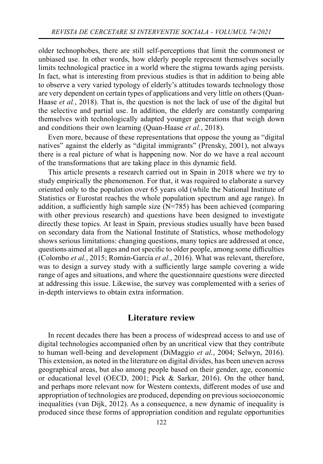older technophobes, there are still self-perceptions that limit the commonest or unbiased use. In other words, how elderly people represent themselves socially limits technological practice in a world where the stigma towards aging persists. In fact, what is interesting from previous studies is that in addition to being able to observe a very varied typology of elderly's attitudes towards technology those are very dependent on certain types of applications and very little on others (Quan-Haase *et al.*, 2018). That is, the question is not the lack of use of the digital but the selective and partial use. In addition, the elderly are constantly comparing themselves with technologically adapted younger generations that weigh down and conditions their own learning (Quan-Haase *et al.*, 2018).

Even more, because of these representations that oppose the young as "digital natives" against the elderly as "digital immigrants" (Prensky, 2001), not always there is a real picture of what is happening now. Nor do we have a real account of the transformations that are taking place in this dynamic field.

This article presents a research carried out in Spain in 2018 where we try to study empirically the phenomenon. For that, it was required to elaborate a survey oriented only to the population over 65 years old (while the National Institute of Statistics or Eurostat reaches the whole population spectrum and age range). In addition, a sufficiently high sample size  $(N=785)$  has been achieved (comparing with other previous research) and questions have been designed to investigate directly these topics. At least in Spain, previous studies usually have been based on secondary data from the National Institute of Statistics, whose methodology shows serious limitations: changing questions, many topics are addressed at once, questions aimed at all ages and not specific to older people, among some difficulties (Colombo *et al.*, 2015; Román-García *et al.*, 2016). What was relevant, therefore, was to design a survey study with a sufficiently large sample covering a wide range of ages and situations, and where the questionnaire questions were directed at addressing this issue. Likewise, the survey was complemented with a series of in-depth interviews to obtain extra information.

## **Literature review**

In recent decades there has been a process of widespread access to and use of digital technologies accompanied often by an uncritical view that they contribute to human well-being and development (DiMaggio *et al.*, 2004; Selwyn, 2016). This extension, as noted in the literature on digital divides, has been uneven across geographical areas, but also among people based on their gender, age, economic or educational level (OECD, 2001; Pick & Sarkar, 2016). On the other hand, and perhaps more relevant now for Western contexts, different modes of use and appropriation of technologies are produced, depending on previous socioeconomic inequalities (van Dijk, 2012). As a consequence, a new dynamic of inequality is produced since these forms of appropriation condition and regulate opportunities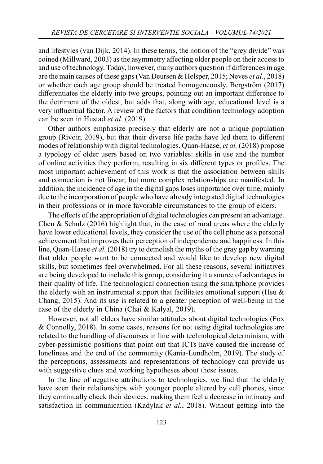and lifestyles (van Dijk, 2014). In these terms, the notion of the "grey divide" was coined (Millward, 2003) as the asymmetry affecting older people on their access to and use of technology. Today, however, many authors question if differences in age are the main causes of these gaps (Van Deursen & Helsper, 2015; Neves *et al.*, 2018) or whether each age group should be treated homogeneously. Bergström (2017) differentiates the elderly into two groups, pointing out an important difference to the detriment of the oldest, but adds that, along with age, educational level is a very influential factor. A review of the factors that condition technology adoption can be seen in Hustad *et al.* (2019).

Other authors emphasize precisely that elderly are not a unique population group (Rivoir, 2019), but that their diverse life paths have led them to different modes of relationship with digital technologies. Quan-Haase, *et al.* (2018) propose a typology of older users based on two variables: skills in use and the number of online activities they perform, resulting in six different types or profiles. The most important achievement of this work is that the association between skills and connection is not linear, but more complex relationships are manifested. In addition, the incidence of age in the digital gaps loses importance over time, mainly due to the incorporation of people who have already integrated digital technologies in their professions or in more favorable circumstances to the group of elders.

The effects of the appropriation of digital technologies can present an advantage. Chen & Schulz (2016) highlight that, in the case of rural areas where the elderly have lower educational levels, they consider the use of the cell phone as a personal achievement that improves their perception of independence and happiness. In this line, Quan-Haase *et al.* (2018) try to demolish the myths of the gray gap by warning that older people want to be connected and would like to develop new digital skills, but sometimes feel overwhelmed. For all these reasons, several initiatives are being developed to include this group, considering it a source of advantages in their quality of life. The technological connection using the smartphone provides the elderly with an instrumental support that facilitates emotional support (Hsu  $\&$ Chang, 2015). And its use is related to a greater perception of well-being in the case of the elderly in China (Chai & Kalyal, 2019).

However, not all elders have similar attitudes about digital technologies (Fox & Connolly, 2018). In some cases, reasons for not using digital technologies are related to the handling of discourses in line with technological determinism, with cyber-pessimistic positions that point out that ICTs have caused the increase of loneliness and the end of the community (Kania-Lundholm, 2019). The study of the perceptions, assessments and representations of technology can provide us with suggestive clues and working hypotheses about these issues.

In the line of negative attributions to technologies, we find that the elderly have seen their relationships with younger people altered by cell phones, since they continually check their devices, making them feel a decrease in intimacy and satisfaction in communication (Kadylak *et al.*, 2018). Without getting into the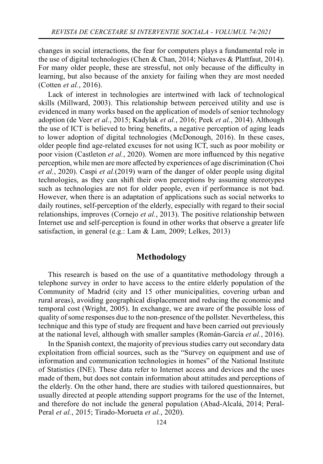changes in social interactions, the fear for computers plays a fundamental role in the use of digital technologies (Chen & Chan, 2014; Niehaves & Plattfaut, 2014). For many older people, these are stressful, not only because of the difficulty in learning, but also because of the anxiety for failing when they are most needed (Cotten *et al.*, 2016).

Lack of interest in technologies are intertwined with lack of technological skills (Millward, 2003). This relationship between perceived utility and use is evidenced in many works based on the application of models of senior technology adoption (de Veer *et al.*, 2015; Kadylak *et al.*, 2016; Peek *et al.*, 2014). Although the use of ICT is believed to bring benefits, a negative perception of aging leads to lower adoption of digital technologies (McDonough, 2016). In these cases, older people find age-related excuses for not using ICT, such as poor mobility or poor vision (Castleton *et al.*, 2020). Women are more influenced by this negative perception, while men are more affected by experiences of age discrimination (Choi *et al.*, 2020). Caspi *et al.*(2019) warn of the danger of older people using digital technologies, as they can shift their own perceptions by assuming stereotypes such as technologies are not for older people, even if performance is not bad. However, when there is an adaptation of applications such as social networks to daily routines, self-perception of the elderly, especially with regard to their social relationships, improves (Cornejo *et al.*, 2013). The positive relationship between Internet use and self-perception is found in other works that observe a greater life satisfaction, in general (e.g.: Lam & Lam, 2009; Lelkes, 2013)

## **Methodology**

This research is based on the use of a quantitative methodology through a telephone survey in order to have access to the entire elderly population of the Community of Madrid (city and 15 other municipalities, covering urban and rural areas), avoiding geographical displacement and reducing the economic and temporal cost (Wright, 2005). In exchange, we are aware of the possible loss of quality of some responses due to the non-presence of the pollster. Nevertheless, this technique and this type of study are frequent and have been carried out previously at the national level, although with smaller samples (Román-García *et al.*, 2016).

In the Spanish context, the majority of previous studies carry out secondary data exploitation from official sources, such as the "Survey on equipment and use of information and communication technologies in homes" of the National Institute of Statistics (INE). These data refer to Internet access and devices and the uses made of them, but does not contain information about attitudes and perceptions of the elderly. On the other hand, there are studies with tailored questionnaires, but usually directed at people attending support programs for the use of the Internet, and therefore do not include the general population (Abad-Alcalá, 2014; Peral-Peral *et al.*, 2015; Tirado-Morueta *et al.*, 2020).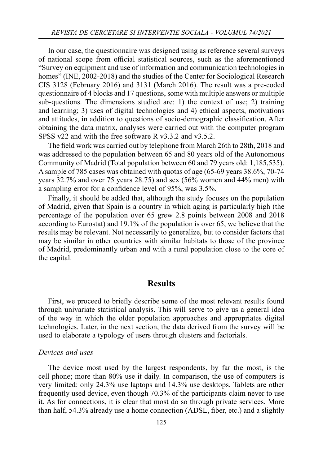In our case, the questionnaire was designed using as reference several surveys of national scope from official statistical sources, such as the aforementioned "Survey on equipment and use of information and communication technologies in homes" (INE, 2002-2018) and the studies of the Center for Sociological Research CIS 3128 (February 2016) and 3131 (March 2016). The result was a pre-coded questionnaire of 4 blocks and 17 questions, some with multiple answers or multiple sub-questions. The dimensions studied are: 1) the context of use; 2) training and learning; 3) uses of digital technologies and 4) ethical aspects, motivations and attitudes, in addition to questions of socio-demographic classification. After obtaining the data matrix, analyses were carried out with the computer program SPSS v22 and with the free software R v3.3.2 and v3.5.2.

The field work was carried out by telephone from March 26th to 28th, 2018 and was addressed to the population between 65 and 80 years old of the Autonomous Community of Madrid (Total population between 60 and 79 years old: 1,185,535). A sample of 785 cases was obtained with quotas of age (65-69 years 38.6%, 70-74 years 32.7% and over 75 years 28.75) and sex (56% women and 44% men) with a sampling error for a confidence level of 95%, was 3.5%.

Finally, it should be added that, although the study focuses on the population of Madrid, given that Spain is a country in which aging is particularly high (the percentage of the population over 65 grew 2.8 points between 2008 and 2018 according to Eurostat) and 19.1% of the population is over 65, we believe that the results may be relevant. Not necessarily to generalize, but to consider factors that may be similar in other countries with similar habitats to those of the province of Madrid, predominantly urban and with a rural population close to the core of the capital.

## **Results**

First, we proceed to briefly describe some of the most relevant results found through univariate statistical analysis. This will serve to give us a general idea of the way in which the older population approaches and appropriates digital technologies. Later, in the next section, the data derived from the survey will be used to elaborate a typology of users through clusters and factorials.

#### *Devices and uses*

The device most used by the largest respondents, by far the most, is the cell phone; more than 80% use it daily. In comparison, the use of computers is very limited: only 24.3% use laptops and 14.3% use desktops. Tablets are other frequently used device, even though 70.3% of the participants claim never to use it. As for connections, it is clear that most do so through private services. More than half, 54.3% already use a home connection (ADSL, fiber, etc.) and a slightly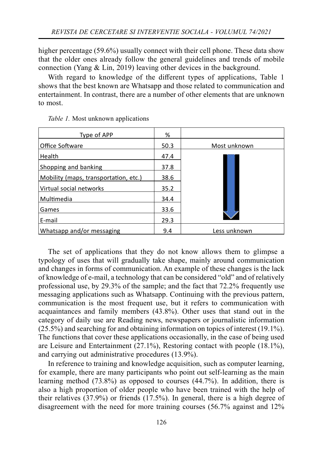higher percentage (59.6%) usually connect with their cell phone. These data show that the older ones already follow the general guidelines and trends of mobile connection (Yang & Lin, 2019) leaving other devices in the background.

With regard to knowledge of the different types of applications, Table 1 shows that the best known are Whatsapp and those related to communication and entertainment. In contrast, there are a number of other elements that are unknown to most.

| Type of APP                           | %    |              |
|---------------------------------------|------|--------------|
| Office Software                       | 50.3 | Most unknown |
| l Health                              | 47.4 |              |
| Shopping and banking                  | 37.8 |              |
| Mobility (maps, transportation, etc.) | 38.6 |              |
| Virtual social networks               | 35.2 |              |
| Multimedia                            | 34.4 |              |
| Games                                 | 33.6 |              |
| l E-mail                              | 29.3 |              |
| Whatsapp and/or messaging             | 9.4  | Less unknown |

*Table 1.* Most unknown applications

The set of applications that they do not know allows them to glimpse a typology of uses that will gradually take shape, mainly around communication and changes in forms of communication. An example of these changes is the lack of knowledge of e-mail, a technology that can be considered "old" and of relatively professional use, by 29.3% of the sample; and the fact that 72.2% frequently use messaging applications such as Whatsapp. Continuing with the previous pattern, communication is the most frequent use, but it refers to communication with acquaintances and family members (43.8%). Other uses that stand out in the category of daily use are Reading news, newspapers or journalistic information (25.5%) and searching for and obtaining information on topics of interest (19.1%). The functions that cover these applications occasionally, in the case of being used are Leisure and Entertainment (27.1%), Restoring contact with people (18.1%), and carrying out administrative procedures (13.9%).

In reference to training and knowledge acquisition, such as computer learning, for example, there are many participants who point out self-learning as the main learning method (73.8%) as opposed to courses (44.7%). In addition, there is also a high proportion of older people who have been trained with the help of their relatives (37.9%) or friends (17.5%). In general, there is a high degree of disagreement with the need for more training courses (56.7% against and 12%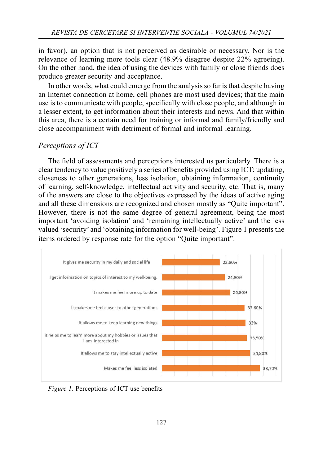in favor), an option that is not perceived as desirable or necessary. Nor is the relevance of learning more tools clear (48.9% disagree despite 22% agreeing). On the other hand, the idea of using the devices with family or close friends does produce greater security and acceptance.

In other words, what could emerge from the analysis so far is that despite having an Internet connection at home, cell phones are most used devices; that the main use is to communicate with people, specifically with close people, and although in a lesser extent, to get information about their interests and news. And that within this area, there is a certain need for training or informal and family/friendly and close accompaniment with detriment of formal and informal learning.

#### *Perceptions of ICT*

The field of assessments and perceptions interested us particularly. There is a clear tendency to value positively a series of benefits provided using ICT: updating, closeness to other generations, less isolation, obtaining information, continuity of learning, self-knowledge, intellectual activity and security, etc. That is, many of the answers are close to the objectives expressed by the ideas of active aging and all these dimensions are recognized and chosen mostly as "Quite important". However, there is not the same degree of general agreement, being the most important 'avoiding isolation' and 'remaining intellectually active' and the less valued 'security' and 'obtaining information for well-being'. Figure 1 presents the items ordered by response rate for the option "Quite important".



*Figure 1.* Perceptions of ICT use benefits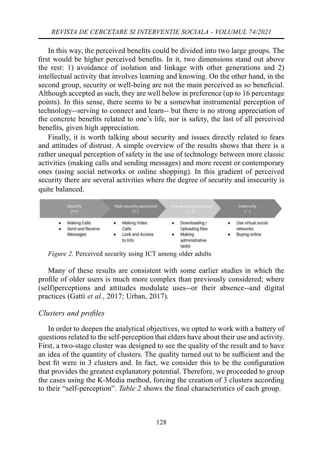In this way, the perceived benefits could be divided into two large groups. The first would be higher perceived benefits. In it, two dimensions stand out above the rest: 1) avoidance of isolation and linkage with other generations and 2) intellectual activity that involves learning and knowing. On the other hand, in the second group, security or well-being are not the main perceived as so beneficial. Although accepted as such, they are well below in preference (up to 16 percentage points). In this sense, there seems to be a somewhat instrumental perception of technology--serving to connect and learn-- but there is no strong appreciation of the concrete benefits related to one's life, nor is safety, the last of all perceived benefits, given high appreciation.

Finally, it is worth talking about security and issues directly related to fears and attitudes of distrust. A simple overview of the results shows that there is a rather unequal perception of safety in the use of technology between more classic activities (making calls and sending messages) and more recent or contemporary ones (using social networks or online shopping). In this gradient of perceived security there are several activities where the degree of security and insecurity is quite balanced.



*Figure 2.* Perceived security using ICT among older adults

Many of these results are consistent with some earlier studies in which the profile of older users is much more complex than previously considered; where (self)perceptions and attitudes modulate uses--or their absence--and digital practices (Gatti *et al.*, 2017; Urban, 2017).

#### *Clusters and profi les*

In order to deepen the analytical objectives, we opted to work with a battery of questions related to the self-perception that elders have about their use and activity. First, a two-stage cluster was designed to see the quality of the result and to have an idea of the quantity of clusters. The quality turned out to be sufficient and the best fit were in 3 clusters and. In fact, we consider this to be the configuration that provides the greatest explanatory potential. Therefore, we proceeded to group the cases using the K-Media method, forcing the creation of 3 clusters according to their "self-perception". *Table 2* shows the final characteristics of each group.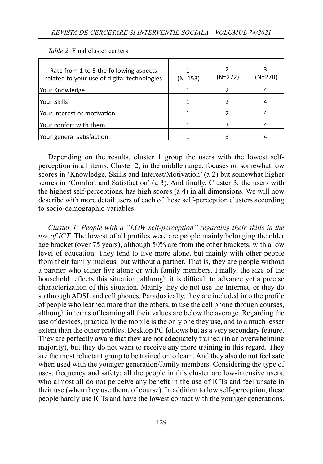| Rate from 1 to 5 the following aspects<br>related to your use of digital technologies | $(N=153)$ | $(N=272)$ | $(N=278)$ |
|---------------------------------------------------------------------------------------|-----------|-----------|-----------|
| Your Knowledge                                                                        |           |           |           |
| l Your Skills                                                                         |           |           |           |
| l Your interest or motivation                                                         |           |           |           |
| Your confort with them                                                                |           |           |           |
| Your general satisfaction                                                             |           |           |           |

*Table 2.* Final cluster centers

Depending on the results, cluster 1 group the users with the lowest selfperception in all items. Cluster 2, in the middle range, focuses on somewhat low scores in 'Knowledge, Skills and Interest/Motivation' (a 2) but somewhat higher scores in 'Comfort and Satisfaction' (a 3). And finally, Cluster 3, the users with the highest self-perceptions, has high scores (a 4) in all dimensions. We will now describe with more detail users of each of these self-perception clusters according to socio-demographic variables:

*Cluster 1: People with a "LOW self-perception" regarding their skills in the use of ICT*. The lowest of all profiles were are people mainly belonging the older age bracket (over 75 years), although 50% are from the other brackets, with a low level of education. They tend to live more alone, but mainly with other people from their family nucleus, but without a partner. That is, they are people without a partner who either live alone or with family members. Finally, the size of the household reflects this situation, although it is difficult to advance yet a precise characterization of this situation. Mainly they do not use the Internet, or they do so through ADSL and cell phones. Paradoxically, they are included into the profile of people who learned more than the others, to use the cell phone through courses, although in terms of learning all their values are below the average. Regarding the use of devices, practically the mobile is the only one they use, and to a much lesser extent than the other profiles. Desktop PC follows but as a very secondary feature. They are perfectly aware that they are not adequately trained (in an overwhelming majority), but they do not want to receive any more training in this regard. They are the most reluctant group to be trained or to learn. And they also do not feel safe when used with the younger generation/family members. Considering the type of uses, frequency and safety; all the people in this cluster are low-intensive users, who almost all do not perceive any benefit in the use of ICTs and feel unsafe in their use (when they use them, of course). In addition to low self-perception, these people hardly use ICTs and have the lowest contact with the younger generations.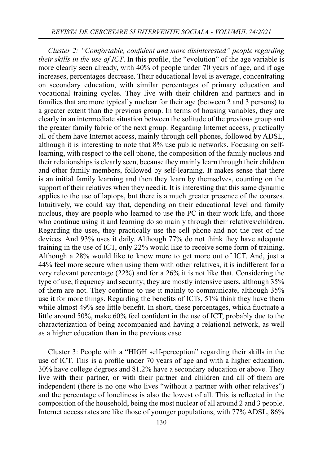*Cluster 2: "Comfortable, confident and more disinterested" people regarding their skills in the use of ICT*. In this profile, the "evolution" of the age variable is more clearly seen already, with 40% of people under 70 years of age, and if age increases, percentages decrease. Their educational level is average, concentrating on secondary education, with similar percentages of primary education and vocational training cycles. They live with their children and partners and in families that are more typically nuclear for their age (between 2 and 3 persons) to a greater extent than the previous group. In terms of housing variables, they are clearly in an intermediate situation between the solitude of the previous group and the greater family fabric of the next group. Regarding Internet access, practically all of them have Internet access, mainly through cell phones, followed by ADSL, although it is interesting to note that 8% use public networks. Focusing on selflearning, with respect to the cell phone, the composition of the family nucleus and their relationships is clearly seen, because they mainly learn through their children and other family members, followed by self-learning. It makes sense that there is an initial family learning and then they learn by themselves, counting on the support of their relatives when they need it. It is interesting that this same dynamic applies to the use of laptops, but there is a much greater presence of the courses. Intuitively, we could say that, depending on their educational level and family nucleus, they are people who learned to use the PC in their work life, and those who continue using it and learning do so mainly through their relatives/children. Regarding the uses, they practically use the cell phone and not the rest of the devices. And 93% uses it daily. Although 77% do not think they have adequate training in the use of ICT, only 22% would like to receive some form of training. Although a 28% would like to know more to get more out of ICT. And, just a 44% feel more secure when using them with other relatives, it is indifferent for a very relevant percentage (22%) and for a 26% it is not like that. Considering the type of use, frequency and security; they are mostly intensive users, although 35% of them are not. They continue to use it mainly to communicate, although 35% use it for more things. Regarding the benefits of ICTs, 51% think they have them while almost 49% see little benefit. In short, these percentages, which fluctuate a little around  $50\%$ , make  $60\%$  feel confident in the use of ICT, probably due to the characterization of being accompanied and having a relational network, as well as a higher education than in the previous case.

Cluster 3: People with a "HIGH self-perception" regarding their skills in the use of ICT. This is a profile under 70 years of age and with a higher education. 30% have college degrees and 81.2% have a secondary education or above. They live with their partner, or with their partner and children and all of them are independent (there is no one who lives "without a partner with other relatives") and the percentage of loneliness is also the lowest of all. This is reflected in the composition of the household, being the most nuclear of all around 2 and 3 people. Internet access rates are like those of younger populations, with 77% ADSL, 86%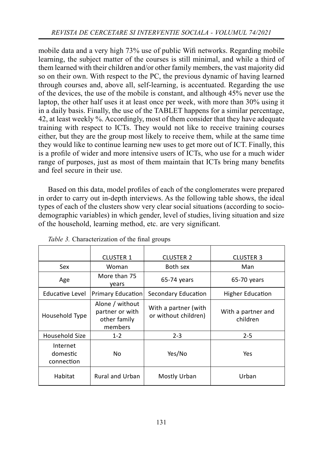mobile data and a very high 73% use of public Wifi networks. Regarding mobile learning, the subject matter of the courses is still minimal, and while a third of them learned with their children and/or other family members, the vast majority did so on their own. With respect to the PC, the previous dynamic of having learned through courses and, above all, self-learning, is accentuated. Regarding the use of the devices, the use of the mobile is constant, and although 45% never use the laptop, the other half uses it at least once per week, with more than 30% using it in a daily basis. Finally, the use of the TABLET happens for a similar percentage, 42, at least weekly %. Accordingly, most of them consider that they have adequate training with respect to ICTs. They would not like to receive training courses either, but they are the group most likely to receive them, while at the same time they would like to continue learning new uses to get more out of ICT. Finally, this is a profile of wider and more intensive users of ICTs, who use for a much wider range of purposes, just as most of them maintain that ICTs bring many benefits and feel secure in their use.

Based on this data, model profiles of each of the conglomerates were prepared in order to carry out in-depth interviews. As the following table shows, the ideal types of each of the clusters show very clear social situations (according to sociodemographic variables) in which gender, level of studies, living situation and size of the household, learning method, etc. are very significant.

|                                    | <b>CLUSTER 1</b>                                              | <b>CLUSTER 2</b>                             | <b>CLUSTER 3</b>               |
|------------------------------------|---------------------------------------------------------------|----------------------------------------------|--------------------------------|
| Sex                                | Woman                                                         | Both sex                                     | Man                            |
| Age                                | More than 75<br>vears                                         | $65-74$ years                                | 65-70 years                    |
| Educative Level                    | <b>Primary Education</b>                                      | Secondary Education                          | <b>Higher Education</b>        |
| Household Type                     | Alone / without<br>partner or with<br>other family<br>members | With a partner (with<br>or without children) | With a partner and<br>children |
| Household Size                     | $1 - 2$                                                       | $2 - 3$                                      | $2 - 5$                        |
| Internet<br>domestic<br>connection | No                                                            | Yes/No                                       | Yes                            |
| Habitat                            | <b>Rural and Urban</b>                                        | Mostly Urban                                 | Urban                          |

Table 3. Characterization of the final groups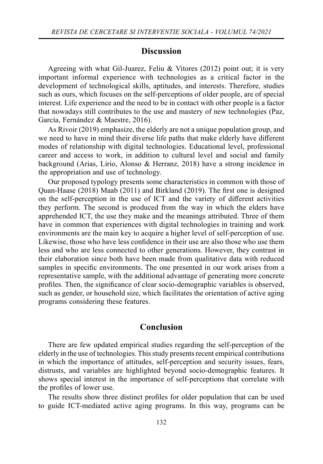## **Discussion**

Agreeing with what Gil-Juarez, Feliu & Vitores (2012) point out; it is very important informal experience with technologies as a critical factor in the development of technological skills, aptitudes, and interests. Therefore, studies such as ours, which focuses on the self-perceptions of older people, are of special interest. Life experience and the need to be in contact with other people is a factor that nowadays still contributes to the use and mastery of new technologies (Paz, García, Fernández & Maestre, 2016).

As Rivoir (2019) emphasize, the elderly are not a unique population group, and we need to have in mind their diverse life paths that make elderly have different modes of relationship with digital technologies. Educational level, professional career and access to work, in addition to cultural level and social and family background (Arias, Lirio, Alonso & Herranz, 2018) have a strong incidence in the appropriation and use of technology.

Our proposed typology presents some characteristics in common with those of Quan-Haase (2018) Maab (2011) and Birkland (2019). The first one is designed on the self-perception in the use of ICT and the variety of different activities they perform. The second is produced from the way in which the elders have apprehended ICT, the use they make and the meanings attributed. Three of them have in common that experiences with digital technologies in training and work environments are the main key to acquire a higher level of self-perception of use. Likewise, those who have less confidence in their use are also those who use them less and who are less connected to other generations. However, they contrast in their elaboration since both have been made from qualitative data with reduced samples in specific environments. The one presented in our work arises from a representative sample, with the additional advantage of generating more concrete profiles. Then, the significance of clear socio-demographic variables is observed, such as gender, or household size, which facilitates the orientation of active aging programs considering these features.

## **Conclusion**

There are few updated empirical studies regarding the self-perception of the elderly in the use of technologies. This study presents recent empirical contributions in which the importance of attitudes, self-perception and security issues, fears, distrusts, and variables are highlighted beyond socio-demographic features. It shows special interest in the importance of self-perceptions that correlate with the profiles of lower use.

The results show three distinct profiles for older population that can be used to guide ICT-mediated active aging programs. In this way, programs can be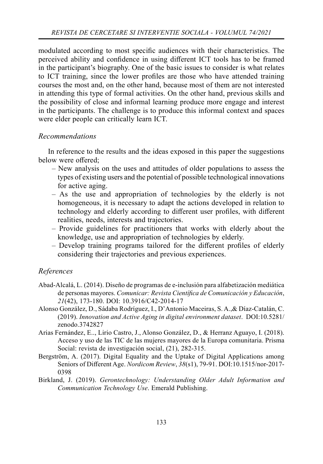modulated according to most specific audiences with their characteristics. The perceived ability and confidence in using different ICT tools has to be framed in the participant's biography. One of the basic issues to consider is what relates to ICT training, since the lower profiles are those who have attended training courses the most and, on the other hand, because most of them are not interested in attending this type of formal activities. On the other hand, previous skills and the possibility of close and informal learning produce more engage and interest in the participants. The challenge is to produce this informal context and spaces were elder people can critically learn ICT.

## *Recommendations*

In reference to the results and the ideas exposed in this paper the suggestions below were offered:

- New analysis on the uses and attitudes of older populations to assess the types of existing users and the potential of possible technological innovations for active aging.
- As the use and appropriation of technologies by the elderly is not homogeneous, it is necessary to adapt the actions developed in relation to technology and elderly according to different user profiles, with different realities, needs, interests and trajectories.
- Provide guidelines for practitioners that works with elderly about the knowledge, use and appropriation of technologies by elderly.
- Develop training programs tailored for the different profiles of elderly considering their trajectories and previous experiences.

## *References*

- Abad-Alcalá, L. (2014). Diseño de programas de e-inclusión para alfabetización mediática de personas mayores. Comunicar: Revista Científica de Comunicación y Educación, *21*(42), 173-180. DOI: 10.3916/C42-2014-17
- Alonso González, D., Sádaba Rodríguez, I., D'Antonio Maceiras, S. A.,& Díaz-Catalán, C. (2019). *Innovation and Active Aging in digital environment dataset*. DOI:10.5281/ zenodo.3742827
- Arias Fernández, E.., Lirio Castro, J., Alonso González, D., & Herranz Aguayo, I. (2018). Acceso y uso de las TIC de las mujeres mayores de la Europa comunitaria. Prisma Social: revista de investigación social, (21), 282-315.
- Bergström, A. (2017). Digital Equality and the Uptake of Digital Applications among Seniors of Different Age. *Nordicom Review*,  $38(s1)$ , 79-91. DOI:10.1515/nor-2017-0398
- Birkland, J. (2019). *Gerontechnology: Understanding Older Adult Information and Communication Technology Use*. Emerald Publishing.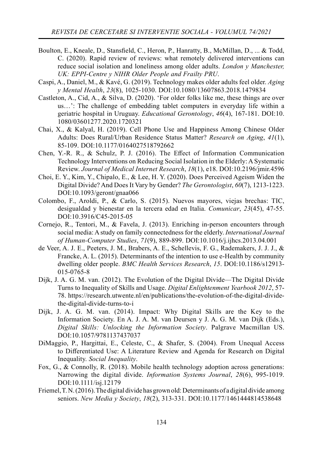- Boulton, E., Kneale, D., Stansfield, C., Heron, P., Hanratty, B., McMillan, D., ... & Todd, C. (2020). Rapid review of reviews: what remotely delivered interventions can reduce social isolation and loneliness among older adults. *London y Manchester, UK: EPPI-Centre y NIHR Older People and Frailty PRU*.
- Caspi, A., Daniel, M., & Kavé, G. (2019). Technology makes older adults feel older. *Aging y Mental Health*, *23*(8), 1025-1030. DOI:10.1080/13607863.2018.1479834
- Castleton, A., Cid, A., & Silva, D. (2020). 'For older folks like me, these things are over us…': The challenge of embedding tablet computers in everyday life within a geriatric hospital in Uruguay. *Educational Gerontology*, *46*(4), 167-181. DOI:10. 1080/03601277.2020.1720321
- Chai, X., & Kalyal, H. (2019). Cell Phone Use and Happiness Among Chinese Older Adults: Does Rural/Urban Residence Status Matter? *Research on Aging*, *41*(1), 85-109. DOI:10.1177/0164027518792662
- Chen, Y.-R. R., & Schulz, P. J.  $(2016)$ . The Effect of Information Communication Technology Interventions on Reducing Social Isolation in the Elderly: A Systematic Review. *Journal of Medical Internet Research*, *18*(1), e18. DOI:10.2196/jmir.4596
- Choi, E. Y., Kim, Y., Chipalo, E., & Lee, H. Y. (2020). Does Perceived Ageism Widen the Digital Divide? And Does It Vary by Gender? *The Gerontologist*, *60*(7), 1213-1223. DOI:10.1093/geront/gnaa066
- Colombo, F., Aroldi, P., & Carlo, S. (2015). Nuevos mayores, viejas brechas: TIC, desigualdad y bienestar en la tercera edad en Italia. *Comunicar*, *23*(45), 47-55. DOI:10.3916/C45-2015-05
- Cornejo, R., Tentori, M., & Favela, J. (2013). Enriching in-person encounters through social media: A study on family connectedness for the elderly. *International Journal of Human-Computer Studies*, *71*(9), 889-899. DOI:10.1016/j.ijhcs.2013.04.001
- de Veer, A. J. E., Peeters, J. M., Brabers, A. E., Schellevis, F. G., Rademakers, J. J. J., & Francke, A. L. (2015). Determinants of the intention to use e-Health by community dwelling older people. *BMC Health Services Research*, *15*. DOI:10.1186/s12913- 015-0765-8
- Dijk, J. A. G. M. van. (2012). The Evolution of the Digital Divide—The Digital Divide Turns to Inequality of Skills and Usage. *Digital Enlightenment Yearbook 2012*, 57- 78. https://research.utwente.nl/en/publications/the-evolution-of-the-digital-dividethe-digital-divide-turns-to-i
- Dijk, J. A. G. M. van. (2014). Impact: Why Digital Skills are the Key to the Information Society. En A. J. A. M. van Deursen y J. A. G. M. van Dijk (Eds.), *Digital Skills: Unlocking the Information Society*. Palgrave Macmillan US. DOI:10.1057/9781137437037
- DiMaggio, P., Hargittai, E., Celeste, C., & Shafer, S. (2004). From Unequal Access to Differentiated Use: A Literature Review and Agenda for Research on Digital Inequality. *Social Inequality*.
- Fox, G., & Connolly, R. (2018). Mobile health technology adoption across generations: Narrowing the digital divide. *Information Systems Journal*, *28*(6), 995-1019. DOI:10.1111/isj.12179
- Friemel, T. N. (2016). The digital divide has grown old: Determinants of a digital divide among seniors. *New Media y Society*, *18*(2), 313-331. DOI:10.1177/1461444814538648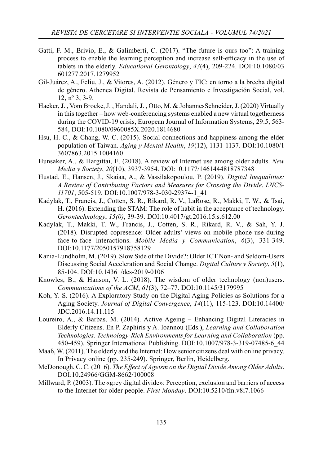- Gatti, F. M., Brivio, E., & Galimberti, C. (2017). "The future is ours too": A training process to enable the learning perception and increase self-efficacy in the use of tablets in the elderly. *Educational Gerontology*, *43*(4), 209-224. DOI:10.1080/03 601277.2017.1279952
- Gil-Juárez, A., Feliu, J., & Vitores, A. (2012). Género y TIC: en torno a la brecha digital de género. Athenea Digital. Revista de Pensamiento e Investigación Social, vol. 12, nº 3, 3-9.
- Hacker, J. , Vom Brocke, J. , Handali, J. , Otto, M. & JohannesSchneider, J. (2020) Virtually in this together – how web-conferencing systems enabled a new virtual togetherness during the COVID-19 crisis, European Journal of Information Systems, 29:5, 563- 584, DOI:10.1080/0960085X.2020.1814680
- Hsu, H.-C., & Chang, W.-C. (2015). Social connections and happiness among the elder population of Taiwan. *Aging y Mental Health*, *19*(12), 1131-1137. DOI:10.1080/1 3607863.2015.1004160
- Hunsaker, A., & Hargittai, E. (2018). A review of Internet use among older adults. *New Media y Society*, *20*(10), 3937-3954. DOI:10.1177/1461444818787348
- Hustad, E., Hansen, J., Skaiaa, A., & Vassilakopoulou, P. (2019). *Digital Inequalities: A Review of Contributing Factors and Measures for Crossing the Divide*. *LNCS-11701*, 505-519. DOI:10.1007/978-3-030-29374-1\_41
- Kadylak, T., Francis, J., Cotten, S. R., Rikard, R. V., LaRose, R., Makki, T. W., & Tsai, H. (2016). Extending the STAM: The role of habit in the acceptance of technology. *Gerontechnology*, *15(0)*, 39-39. DOI:10.4017/gt.2016.15.s.612.00
- Kadylak, T., Makki, T. W., Francis, J., Cotten, S. R., Rikard, R. V., & Sah, Y. J. (2018). Disrupted copresence: Older adults' views on mobile phone use during face-to-face interactions. *Mobile Media y Communication*, *6*(3), 331-349. DOI:10.1177/2050157918758129
- Kania-Lundholm, M. (2019). Slow Side of the Divide?: Older ICT Non- and Seldom-Users Discussing Social Acceleration and Social Change. *Digital Culture y Society*, *5*(1), 85-104. DOI:10.14361/dcs-2019-0106
- Knowles, B., & Hanson, V. L. (2018). The wisdom of older technology (non)users. *Communications of the ACM*, *61*(3), 72–77. DOI:10.1145/3179995
- Koh, Y.-S. (2016). A Exploratory Study on the Digital Aging Policies as Solutions for a Aging Society. *Journal of Digital Convergence*, *14*(11), 115-123. DOI:10.14400/ JDC.2016.14.11.115
- Loureiro, A., & Barbas, M. (2014). Active Ageing Enhancing Digital Literacies in Elderly Citizens. En P. Zaphiris y A. Ioannou (Eds.), *Learning and Collaboration Technologies. Technology-Rich Environments for Learning and Collaboration* (pp. 450-459). Springer International Publishing. DOI:10.1007/978-3-319-07485-6\_44
- Maaß, W. (2011). The elderly and the Internet: How senior citizens deal with online privacy. In Privacy online (pp. 235-249). Springer, Berlin, Heidelberg.
- McDonough, C. C. (2016). *The Effect of Ageism on the Digital Divide Among Older Adults*. DOI:10.24966/GGM-8662/100008
- Millward, P. (2003). The «grey digital divide»: Perception, exclusion and barriers of access to the Internet for older people. *First Monday*. DOI:10.5210/fm.v8i7.1066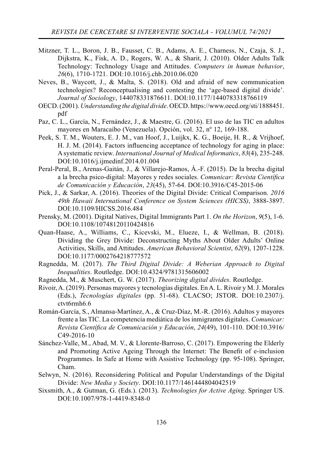- Mitzner, T. L., Boron, J. B., Fausset, C. B., Adams, A. E., Charness, N., Czaja, S. J., Dijkstra, K., Fisk, A. D., Rogers, W. A., & Sharit, J. (2010). Older Adults Talk Technology: Technology Usage and Attitudes. *Computers in human behavior*, *26*(6), 1710-1721. DOI:10.1016/j.chb.2010.06.020
- Neves, B., Waycott, J., & Malta, S. (2018). Old and afraid of new communication technologies? Reconceptualising and contesting the 'age-based digital divide'. *Journal of Sociology*, 144078331876611. DOI:10.1177/1440783318766119
- OECD. (2001). *Understanding the digital divide*. OECD. https://www.oecd.org/sti/1888451. pdf
- Paz, C. L., García, N., Fernández, J., & Maestre, G. (2016). El uso de las TIC en adultos mayores en Maracaibo (Venezuela). Opción, vol. 32, nº 12, 169-188.
- Peek, S. T. M., Wouters, E. J. M., van Hoof, J., Luijkx, K. G., Boeije, H. R., & Vrijhoef, H. J. M. (2014). Factors influencing acceptance of technology for aging in place: A systematic review. *International Journal of Medical Informatics*, *83*(4), 235-248. DOI:10.1016/j.ijmedinf.2014.01.004
- Peral-Peral, B., Arenas-Gaitán, J., & Villarejo-Ramos, Á.-F. (2015). De la brecha digital a la brecha psico-digital: Mayores y redes sociales. *Comunicar: Revista Científica de Comunicación y Educación*, *23*(45), 57-64. DOI:10.3916/C45-2015-06
- Pick, J., & Sarkar, A. (2016). Theories of the Digital Divide: Critical Comparison. *2016 49th Hawaii International Conference on System Sciences (HICSS)*, 3888-3897. DOI:10.1109/HICSS.2016.484
- Prensky, M. (2001). Digital Natives, Digital Immigrants Part 1. *On the Horizon*, *9*(5), 1-6. DOI:10.1108/10748120110424816
- Quan-Haase, A., Williams, C., Kicevski, M., Elueze, I., & Wellman, B. (2018). Dividing the Grey Divide: Deconstructing Myths About Older Adults' Online Activities, Skills, and Attitudes. *American Behavioral Scientist*, *62*(9), 1207-1228. DOI:10.1177/0002764218777572
- Ragnedda, M. (2017). *The Third Digital Divide: A Weberian Approach to Digital Inequalities*. Routledge. DOI:10.4324/9781315606002
- Ragnedda, M., & Muschert, G. W. (2017). *Theorizing digital divides*. Routledge.
- Rivoir, A. (2019). Personas mayores y tecnologías digitales. En A. L. Rivoir y M. J. Morales (Eds.), *Tecnologías digitales* (pp. 51-68). CLACSO; JSTOR. DOI:10.2307/j. ctvt6rmh6.6
- Román-García, S., Almansa-Martínez, A., & Cruz-Díaz, M.-R. (2016). Adultos y mayores frente a las TIC. La competencia mediática de los inmigrantes digitales. *Comunicar: Revista Científica de Comunicación y Educación, 24(49), 101-110. DOI:10.3916/* C49-2016-10
- Sánchez-Valle, M., Abad, M. V., & Llorente-Barroso, C. (2017). Empowering the Elderly and Promoting Active Ageing Through the Internet: The Benefit of e-inclusion Programmes. In Safe at Home with Assistive Technology (pp. 95-108). Springer, Cham.
- Selwyn, N. (2016). Reconsidering Political and Popular Understandings of the Digital Divide: *New Media y Society*. DOI:10.1177/1461444804042519
- Sixsmith, A., & Gutman, G. (Eds.). (2013). *Technologies for Active Aging*. Springer US. DOI:10.1007/978-1-4419-8348-0